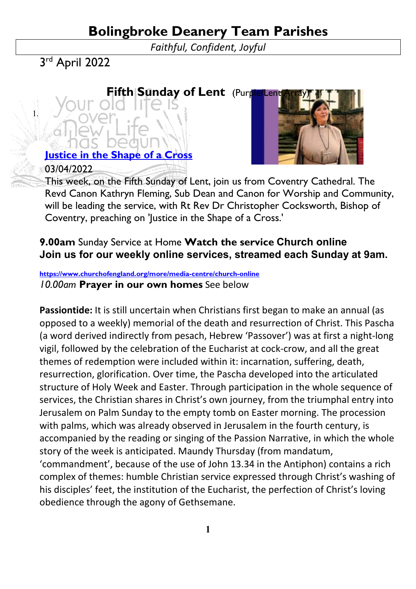# **Bolingbroke Deanery Team Parishes**

*Faithful, Confident, Joyful*

# 3rd April 2022

1.

### **Fifth Sunday of Lent** (Purple/Lent

# **[Justice in the Shape of a Cross](https://www.churchofengland.org/justice-shape-cross)** 03/04/2022



This week, on the Fifth Sunday of Lent, join us from Coventry Cathedral. The Revd Canon Kathryn Fleming, Sub Dean and Canon for Worship and Community, will be leading the service, with Rt Rev Dr Christopher Cocksworth, Bishop of Coventry, preaching on 'Justice in the Shape of a Cross.'

### **9.00am** Sunday Service at Home **Watch the service Church online Join us for our weekly online services, streamed each Sunday at 9am.**

**<https://www.churchofengland.org/more/media-centre/church-online>** *10.00am* **Prayer in our own homes** See below

**Passiontide:** It is still uncertain when Christians first began to make an annual (as opposed to a weekly) memorial of the death and resurrection of Christ. This Pascha (a word derived indirectly from pesach, Hebrew 'Passover') was at first a night-long vigil, followed by the celebration of the Eucharist at cock-crow, and all the great themes of redemption were included within it: incarnation, suffering, death, resurrection, glorification. Over time, the Pascha developed into the articulated structure of Holy Week and Easter. Through participation in the whole sequence of services, the Christian shares in Christ's own journey, from the triumphal entry into Jerusalem on Palm Sunday to the empty tomb on Easter morning. The procession with palms, which was already observed in Jerusalem in the fourth century, is accompanied by the reading or singing of the Passion Narrative, in which the whole story of the week is anticipated. Maundy Thursday (from mandatum, 'commandment', because of the use of John 13.34 in the Antiphon) contains a rich complex of themes: humble Christian service expressed through Christ's washing of his disciples' feet, the institution of the Eucharist, the perfection of Christ's loving obedience through the agony of Gethsemane.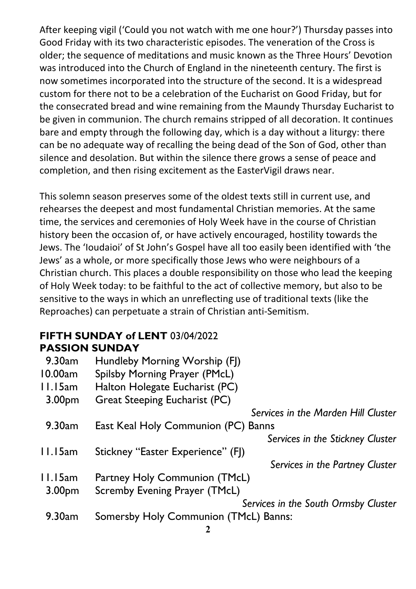After keeping vigil ('Could you not watch with me one hour?') Thursday passes into Good Friday with its two characteristic episodes. The veneration of the Cross is older; the sequence of meditations and music known as the Three Hours' Devotion was introduced into the Church of England in the nineteenth century. The first is now sometimes incorporated into the structure of the second. It is a widespread custom for there not to be a celebration of the Eucharist on Good Friday, but for the consecrated bread and wine remaining from the Maundy Thursday Eucharist to be given in communion. The church remains stripped of all decoration. It continues bare and empty through the following day, which is a day without a liturgy: there can be no adequate way of recalling the being dead of the Son of God, other than silence and desolation. But within the silence there grows a sense of peace and completion, and then rising excitement as the EasterVigil draws near.

This solemn season preserves some of the oldest texts still in current use, and rehearses the deepest and most fundamental Christian memories. At the same time, the services and ceremonies of Holy Week have in the course of Christian history been the occasion of, or have actively encouraged, hostility towards the Jews. The 'Ioudaioi' of St John's Gospel have all too easily been identified with 'the Jews' as a whole, or more specifically those Jews who were neighbours of a Christian church. This places a double responsibility on those who lead the keeping of Holy Week today: to be faithful to the act of collective memory, but also to be sensitive to the ways in which an unreflecting use of traditional texts (like the Reproaches) can perpetuate a strain of Christian anti-Semitism.

#### **FIFTH SUNDAY of LENT** 03/04/2022 **PASSION SUNDAY**

| 9.30am             | Hundleby Morning Worship (FJ)         |
|--------------------|---------------------------------------|
| 10.00am            | Spilsby Morning Prayer (PMcL)         |
| 11.15am            | Halton Holegate Eucharist (PC)        |
| 3.00 <sub>pm</sub> | Great Steeping Eucharist (PC)         |
|                    | Services in the Marden Hill Cluster   |
| 9.30am             | East Keal Holy Communion (PC) Banns   |
|                    | Services in the Stickney Cluster      |
| 11.15am            | Stickney "Easter Experience" (FI)     |
|                    | Services in the Partney Cluster       |
| 11.15am            | Partney Holy Communion (TMcL)         |
| 3.00 <sub>pm</sub> | <b>Scremby Evening Prayer (TMcL)</b>  |
|                    | Services in the South Ormsby Cluster  |
| 9.30am             | Somersby Holy Communion (TMcL) Banns: |
|                    |                                       |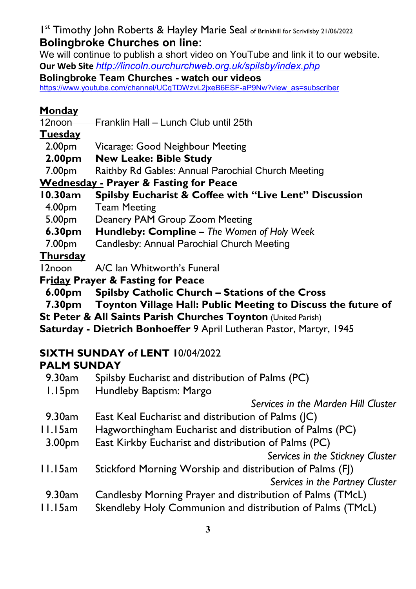1<sup>st</sup> Timothy John Roberts & Hayley Marie Seal of Brinkhill for Scrivilsby 21/06/2022 **Bolingbroke Churches on line:** 

We will continue to publish a short video on YouTube and link it to our website. **Our Web Site** *<http://lincoln.ourchurchweb.org.uk/spilsby/index.php>*

**Bolingbroke Team Churches - watch our videos** 

[https://www.youtube.com/channel/UCqTDWzvL2jxeB6ESF-aP9Nw?view\\_as=subscriber](https://www.youtube.com/channel/UCqTDWzvL2jxeB6ESF-aP9Nw?view_as=subscriber)

#### **Monday**

| <del>12noon</del>  | <del>Lunch Club-</del> until 25th                                                                           |
|--------------------|-------------------------------------------------------------------------------------------------------------|
| <u>Tuesday</u>     |                                                                                                             |
| 2.00 <sub>pm</sub> | Vicarage: Good Neighbour Meeting                                                                            |
| 2.00 <sub>pm</sub> | <b>New Leake: Bible Study</b>                                                                               |
| 7.00pm             | Raithby Rd Gables: Annual Parochial Church Meeting                                                          |
|                    | <b>Wednesday - Prayer &amp; Fasting for Peace</b>                                                           |
| 10.30am            | Spilsby Eucharist & Coffee with "Live Lent" Discussion                                                      |
| 4.00 <sub>pm</sub> | <b>Team Meeting</b>                                                                                         |
| 5.00pm             | Deanery PAM Group Zoom Meeting                                                                              |
| 6.30pm             | <b>Hundleby: Compline – The Women of Holy Week</b>                                                          |
| 7.00 <sub>pm</sub> | <b>Candlesby: Annual Parochial Church Meeting</b>                                                           |
| <u>Thursday</u>    |                                                                                                             |
| 12 <sub>noon</sub> | A/C Ian Whitworth's Funeral                                                                                 |
|                    | Friday Prayer & Fasting for Peace                                                                           |
| 6.00 <sub>pm</sub> | <b>Spilsby Catholic Church – Stations of the Cross</b>                                                      |
| 7.30 <sub>pm</sub> | Toynton Village Hall: Public Meeting to Discuss the future of                                               |
|                    | $\mathsf{C}$ + Deten 0, All $\mathsf{C}$ -inte Devials $\mathsf{C}$ bunabes $\mathsf{T}$ eunten (L), LB, L) |

**St Peter & All Saints Parish Churches Toynton** (United Parish)

**Saturday - Dietrich Bonhoeffer** 9 April Lutheran Pastor, Martyr, 1945

# **SIXTH SUNDAY of LENT 1**0/04/2022

## **PALM SUNDAY**

| <b>PALM SUNDAY</b> |                                                           |
|--------------------|-----------------------------------------------------------|
| 9.30am             | Spilsby Eucharist and distribution of Palms (PC)          |
| 1.15 <sub>pm</sub> | Hundleby Baptism: Margo                                   |
|                    | Services in the Marden Hill Cluster                       |
| 9.30am             | East Keal Eucharist and distribution of Palms (JC)        |
| 11.15am            | Hagworthingham Eucharist and distribution of Palms (PC)   |
| 3.00pm             | East Kirkby Eucharist and distribution of Palms (PC)      |
|                    | Services in the Stickney Cluster                          |
| 11.15am            | Stickford Morning Worship and distribution of Palms (FJ)  |
|                    | Services in the Partney Cluster                           |
| 9.30am             | Candlesby Morning Prayer and distribution of Palms (TMcL) |
| 11.15am            | Skendleby Holy Communion and distribution of Palms (TMcL) |
|                    |                                                           |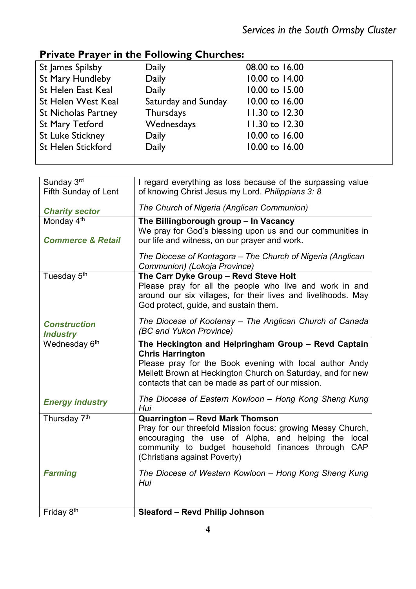# *Services in the South Ormsby Cluster*

# **Private Prayer in the Following Churches:**

| St James Spilsby           | Daily               | 08.00 to 16.00 |
|----------------------------|---------------------|----------------|
| <b>St Mary Hundleby</b>    | <b>Daily</b>        | 10.00 to 14.00 |
| St Helen East Keal         | <b>Daily</b>        | 10.00 to 15.00 |
| St Helen West Keal         | Saturday and Sunday | 10.00 to 16.00 |
| <b>St Nicholas Partney</b> | <b>Thursdays</b>    | 11.30 to 12.30 |
| <b>St Mary Tetford</b>     | Wednesdays          | 11.30 to 12.30 |
| <b>St Luke Stickney</b>    | Daily               | 10.00 to 16.00 |
| <b>St Helen Stickford</b>  | Daily               | 10.00 to 16.00 |
|                            |                     |                |

| Sunday 3rd<br>Fifth Sunday of Lent | I regard everything as loss because of the surpassing value<br>of knowing Christ Jesus my Lord. Philippians 3: 8       |
|------------------------------------|------------------------------------------------------------------------------------------------------------------------|
| <b>Charity sector</b>              | The Church of Nigeria (Anglican Communion)                                                                             |
| Monday 4 <sup>th</sup>             | The Billingborough group - In Vacancy                                                                                  |
|                                    | We pray for God's blessing upon us and our communities in                                                              |
| <b>Commerce &amp; Retail</b>       | our life and witness, on our prayer and work.                                                                          |
|                                    | The Diocese of Kontagora - The Church of Nigeria (Anglican                                                             |
|                                    | Communion) (Lokoja Province)                                                                                           |
| Tuesday 5th                        | The Carr Dyke Group - Revd Steve Holt                                                                                  |
|                                    | Please pray for all the people who live and work in and                                                                |
|                                    | around our six villages, for their lives and livelihoods. May<br>God protect, guide, and sustain them.                 |
|                                    |                                                                                                                        |
| <b>Construction</b>                | The Diocese of Kootenay - The Anglican Church of Canada                                                                |
| <b>Industry</b>                    | (BC and Yukon Province)                                                                                                |
| Wednesday 6 <sup>th</sup>          | The Heckington and Helpringham Group - Revd Captain                                                                    |
|                                    | <b>Chris Harrington</b>                                                                                                |
|                                    | Please pray for the Book evening with local author Andy<br>Mellett Brown at Heckington Church on Saturday, and for new |
|                                    | contacts that can be made as part of our mission.                                                                      |
|                                    |                                                                                                                        |
| <b>Energy industry</b>             | The Diocese of Eastern Kowloon - Hong Kong Sheng Kung<br>Hui                                                           |
| Thursday 7 <sup>th</sup>           | <b>Quarrington - Revd Mark Thomson</b>                                                                                 |
|                                    | Pray for our threefold Mission focus: growing Messy Church,                                                            |
|                                    | encouraging the use of Alpha, and helping the<br>local                                                                 |
|                                    | community to budget household finances through CAP                                                                     |
|                                    | (Christians against Poverty)                                                                                           |
| <b>Farming</b>                     | The Diocese of Western Kowloon - Hong Kong Sheng Kung                                                                  |
|                                    | Hui                                                                                                                    |
|                                    |                                                                                                                        |
| Friday 8 <sup>th</sup>             | <b>Sleaford - Revd Philip Johnson</b>                                                                                  |
|                                    |                                                                                                                        |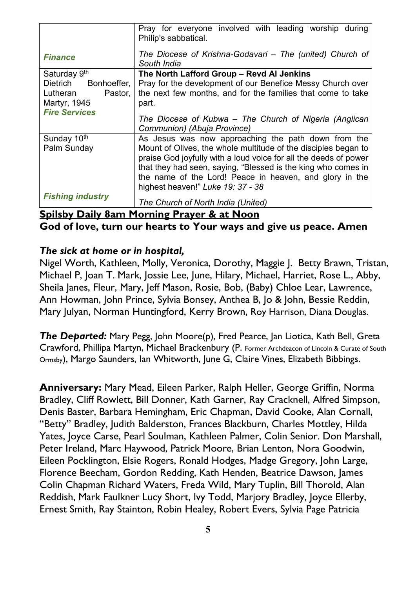|                         | Pray for everyone involved with leading worship during                  |
|-------------------------|-------------------------------------------------------------------------|
|                         | Philip's sabbatical.                                                    |
| <b>Finance</b>          | The Diocese of Krishna-Godavari – The (united) Church of<br>South India |
| Saturday 9th            | The North Lafford Group - Revd AI Jenkins                               |
| Dietrich Bonhoeffer,    | Pray for the development of our Benefice Messy Church over              |
| Lutheran<br>Pastor,     | the next few months, and for the families that come to take             |
| Martyr, 1945            | part.                                                                   |
| <b>Fire Services</b>    |                                                                         |
|                         | The Diocese of Kubwa – The Church of Nigeria (Anglican                  |
|                         | Communion) (Abuja Province)                                             |
| Sunday 10th             | As Jesus was now approaching the path down from the                     |
| Palm Sunday             | Mount of Olives, the whole multitude of the disciples began to          |
|                         | praise God joyfully with a loud voice for all the deeds of power        |
|                         | that they had seen, saying, "Blessed is the king who comes in           |
|                         | the name of the Lord! Peace in heaven, and glory in the                 |
|                         | highest heaven!" Luke 19: 37 - 38                                       |
| <b>Fishing industry</b> | The Church of North India (United)                                      |

**Spilsby Daily 8am Morning Prayer & at Noon God of love, turn our hearts to Your ways and give us peace. Amen**

#### *The sick at home or in hospital,*

Nigel Worth, Kathleen, Molly, Veronica, Dorothy, Maggie J. Betty Brawn, Tristan, Michael P, Joan T. Mark, Jossie Lee, June, Hilary, Michael, Harriet, Rose L., Abby, Sheila Janes, Fleur, Mary, Jeff Mason, Rosie, Bob, (Baby) Chloe Lear, Lawrence, Ann Howman, John Prince, Sylvia Bonsey, Anthea B, Jo & John, Bessie Reddin, Mary Julyan, Norman Huntingford, Kerry Brown, Roy Harrison, Diana Douglas.

*The Departed:* Mary Pegg, John Moore(p), Fred Pearce, Jan Liotica, Kath Bell, Greta Crawford, Phillipa Martyn, Michael Brackenbury (P. Former Archdeacon of Lincoln & Curate of South Ormsby), Margo Saunders, Ian Whitworth, June G, Claire Vines, Elizabeth Bibbings.

**Anniversary:** Mary Mead, Eileen Parker, Ralph Heller, George Griffin, Norma Bradley, Cliff Rowlett, Bill Donner, Kath Garner, Ray Cracknell, Alfred Simpson, Denis Baster, Barbara Hemingham, Eric Chapman, David Cooke, Alan Cornall, "Betty" Bradley, Judith Balderston, Frances Blackburn, Charles Mottley, Hilda Yates, Joyce Carse, Pearl Soulman, Kathleen Palmer, Colin Senior. Don Marshall, Peter Ireland, Marc Haywood, Patrick Moore, Brian Lenton, Nora Goodwin, Eileen Pocklington, Elsie Rogers, Ronald Hodges, Madge Gregory, John Large, Florence Beecham, Gordon Redding, Kath Henden, Beatrice Dawson, James Colin Chapman Richard Waters, Freda Wild, Mary Tuplin, Bill Thorold, Alan Reddish, Mark Faulkner Lucy Short, Ivy Todd, Marjory Bradley, Joyce Ellerby, Ernest Smith, Ray Stainton, Robin Healey, Robert Evers, Sylvia Page Patricia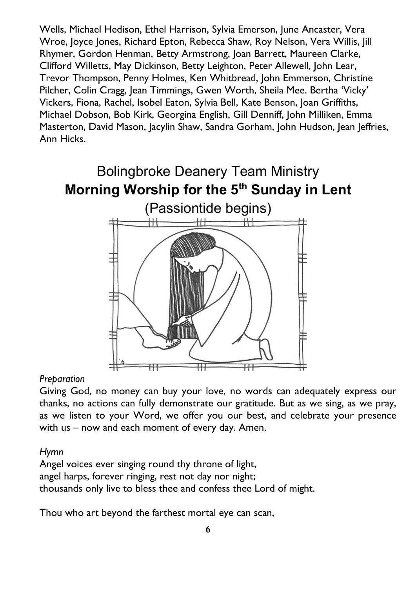Wells, Michael Hedison, Ethel Harrison, Sylvia Emerson, June Ancaster, Vera Wroe, Joyce Jones, Richard Epton, Rebecca Shaw, Roy Nelson, Vera Willis, Jill Rhymer, Gordon Henman, Betty Armstrong, Joan Barrett, Maureen Clarke, Clifford Willetts, May Dickinson, Betty Leighton, Peter Allewell, John Lear, Trevor Thompson, Penny Holmes, Ken Whitbread, John Emmerson, Christine Pilcher, Colin Cragg, Jean Timmings, Gwen Worth, Sheila Mee. Bertha 'Vicky' Vickers, Fiona, Rachel, Isobel Eaton, Sylvia Bell, Kate Benson, Joan Griffiths, Michael Dobson, Bob Kirk, Georgina English, Gill Denniff, John Milliken, Emma Masterton, David Mason, Jacylin Shaw, Sandra Gorham, John Hudson, Jean Jeffries, Ann Hicks.

# Bolingbroke Deanery Team Ministry **Morning Worship for the 5th Sunday in Lent**



#### *Preparation*

Giving God, no money can buy your love, no words can adequately express our thanks, no actions can fully demonstrate our gratitude. But as we sing, as we pray, as we listen to your Word, we offer you our best, and celebrate your presence with us – now and each moment of every day. Amen.

#### *Hymn*

Angel voices ever singing round thy throne of light, angel harps, forever ringing, rest not day nor night; thousands only live to bless thee and confess thee Lord of might.

Thou who art beyond the farthest mortal eye can scan,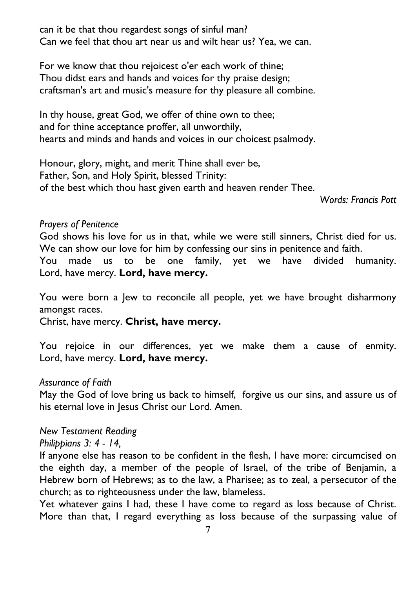can it be that thou regardest songs of sinful man? Can we feel that thou art near us and wilt hear us? Yea, we can.

For we know that thou rejoicest o'er each work of thine; Thou didst ears and hands and voices for thy praise design; craftsman's art and music's measure for thy pleasure all combine.

In thy house, great God, we offer of thine own to thee; and for thine acceptance proffer, all unworthily, hearts and minds and hands and voices in our choicest psalmody.

Honour, glory, might, and merit Thine shall ever be, Father, Son, and Holy Spirit, blessed Trinity: of the best which thou hast given earth and heaven render Thee.

*Words: Francis Pott*

#### *Prayers of Penitence*

God shows his love for us in that, while we were still sinners, Christ died for us. We can show our love for him by confessing our sins in penitence and faith. You made us to be one family, yet we have divided humanity. Lord, have mercy. **Lord, have mercy.**

You were born a Jew to reconcile all people, yet we have brought disharmony amongst races.

Christ, have mercy. **Christ, have mercy.**

You rejoice in our differences, yet we make them a cause of enmity. Lord, have mercy. **Lord, have mercy.**

#### *Assurance of Faith*

May the God of love bring us back to himself, forgive us our sins, and assure us of his eternal love in Jesus Christ our Lord. Amen.

#### *New Testament Reading*

#### *Philippians 3: 4 - 14,*

If anyone else has reason to be confident in the flesh, I have more: circumcised on the eighth day, a member of the people of Israel, of the tribe of Benjamin, a Hebrew born of Hebrews; as to the law, a Pharisee; as to zeal, a persecutor of the church; as to righteousness under the law, blameless.

Yet whatever gains I had, these I have come to regard as loss because of Christ. More than that, I regard everything as loss because of the surpassing value of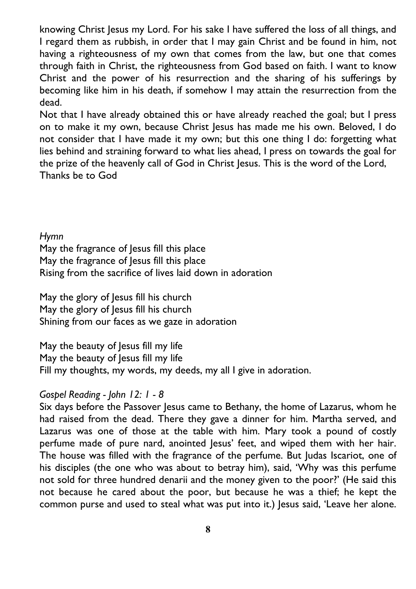knowing Christ Jesus my Lord. For his sake I have suffered the loss of all things, and I regard them as rubbish, in order that I may gain Christ and be found in him, not having a righteousness of my own that comes from the law, but one that comes through faith in Christ, the righteousness from God based on faith. I want to know Christ and the power of his resurrection and the sharing of his sufferings by becoming like him in his death, if somehow I may attain the resurrection from the dead.

Not that I have already obtained this or have already reached the goal; but I press on to make it my own, because Christ Jesus has made me his own. Beloved, I do not consider that I have made it my own; but this one thing I do: forgetting what lies behind and straining forward to what lies ahead, I press on towards the goal for the prize of the heavenly call of God in Christ Jesus. This is the word of the Lord, Thanks be to God

*Hymn*

May the fragrance of Jesus fill this place May the fragrance of Jesus fill this place Rising from the sacrifice of lives laid down in adoration

May the glory of Jesus fill his church May the glory of Jesus fill his church Shining from our faces as we gaze in adoration

May the beauty of Jesus fill my life May the beauty of Jesus fill my life Fill my thoughts, my words, my deeds, my all I give in adoration.

#### *Gospel Reading - John 12: 1 - 8*

Six days before the Passover Jesus came to Bethany, the home of Lazarus, whom he had raised from the dead. There they gave a dinner for him. Martha served, and Lazarus was one of those at the table with him. Mary took a pound of costly perfume made of pure nard, anointed Jesus' feet, and wiped them with her hair. The house was filled with the fragrance of the perfume. But Judas Iscariot, one of his disciples (the one who was about to betray him), said, 'Why was this perfume not sold for three hundred denarii and the money given to the poor?' (He said this not because he cared about the poor, but because he was a thief; he kept the common purse and used to steal what was put into it.) Jesus said, 'Leave her alone.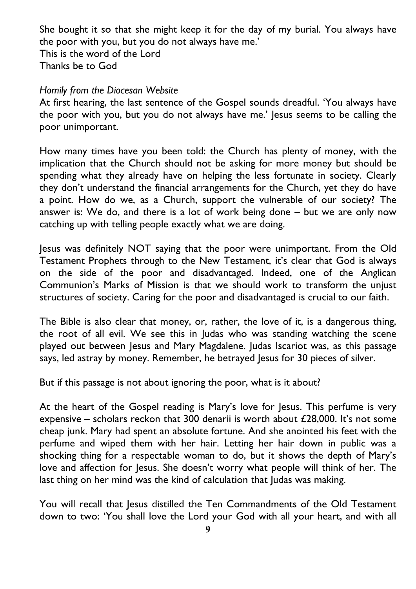She bought it so that she might keep it for the day of my burial. You always have the poor with you, but you do not always have me.' This is the word of the Lord Thanks be to God

#### *Homily from the Diocesan Website*

At first hearing, the last sentence of the Gospel sounds dreadful. 'You always have the poor with you, but you do not always have me.' Jesus seems to be calling the poor unimportant.

How many times have you been told: the Church has plenty of money, with the implication that the Church should not be asking for more money but should be spending what they already have on helping the less fortunate in society. Clearly they don't understand the financial arrangements for the Church, yet they do have a point. How do we, as a Church, support the vulnerable of our society? The answer is: We do, and there is a lot of work being done – but we are only now catching up with telling people exactly what we are doing.

Jesus was definitely NOT saying that the poor were unimportant. From the Old Testament Prophets through to the New Testament, it's clear that God is always on the side of the poor and disadvantaged. Indeed, one of the Anglican Communion's Marks of Mission is that we should work to transform the unjust structures of society. Caring for the poor and disadvantaged is crucial to our faith.

The Bible is also clear that money, or, rather, the love of it, is a dangerous thing, the root of all evil. We see this in Judas who was standing watching the scene played out between Jesus and Mary Magdalene. Judas Iscariot was, as this passage says, led astray by money. Remember, he betrayed Jesus for 30 pieces of silver.

But if this passage is not about ignoring the poor, what is it about?

At the heart of the Gospel reading is Mary's love for Jesus. This perfume is very expensive – scholars reckon that 300 denarii is worth about £28,000. It's not some cheap junk. Mary had spent an absolute fortune. And she anointed his feet with the perfume and wiped them with her hair. Letting her hair down in public was a shocking thing for a respectable woman to do, but it shows the depth of Mary's love and affection for Jesus. She doesn't worry what people will think of her. The last thing on her mind was the kind of calculation that Judas was making.

You will recall that Jesus distilled the Ten Commandments of the Old Testament down to two: 'You shall love the Lord your God with all your heart, and with all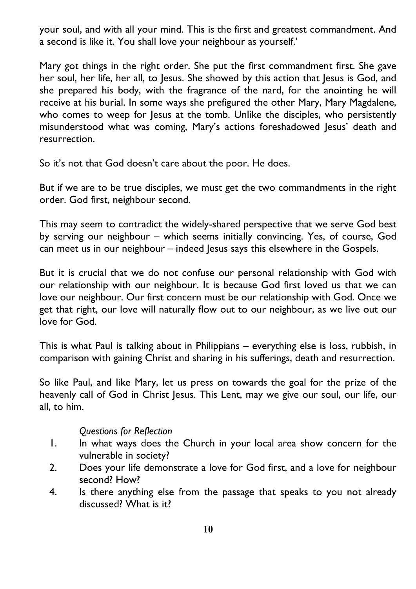your soul, and with all your mind. This is the first and greatest commandment. And a second is like it. You shall love your neighbour as yourself.'

Mary got things in the right order. She put the first commandment first. She gave her soul, her life, her all, to Jesus. She showed by this action that Jesus is God, and she prepared his body, with the fragrance of the nard, for the anointing he will receive at his burial. In some ways she prefigured the other Mary, Mary Magdalene, who comes to weep for Jesus at the tomb. Unlike the disciples, who persistently misunderstood what was coming, Mary's actions foreshadowed Jesus' death and resurrection.

So it's not that God doesn't care about the poor. He does.

But if we are to be true disciples, we must get the two commandments in the right order. God first, neighbour second.

This may seem to contradict the widely-shared perspective that we serve God best by serving our neighbour – which seems initially convincing. Yes, of course, God can meet us in our neighbour – indeed Jesus says this elsewhere in the Gospels.

But it is crucial that we do not confuse our personal relationship with God with our relationship with our neighbour. It is because God first loved us that we can love our neighbour. Our first concern must be our relationship with God. Once we get that right, our love will naturally flow out to our neighbour, as we live out our love for God.

This is what Paul is talking about in Philippians – everything else is loss, rubbish, in comparison with gaining Christ and sharing in his sufferings, death and resurrection.

So like Paul, and like Mary, let us press on towards the goal for the prize of the heavenly call of God in Christ Jesus. This Lent, may we give our soul, our life, our all, to him.

#### *Questions for Reflection*

- 1. In what ways does the Church in your local area show concern for the vulnerable in society?
- 2. Does your life demonstrate a love for God first, and a love for neighbour second? How?
- 4. Is there anything else from the passage that speaks to you not already discussed? What is it?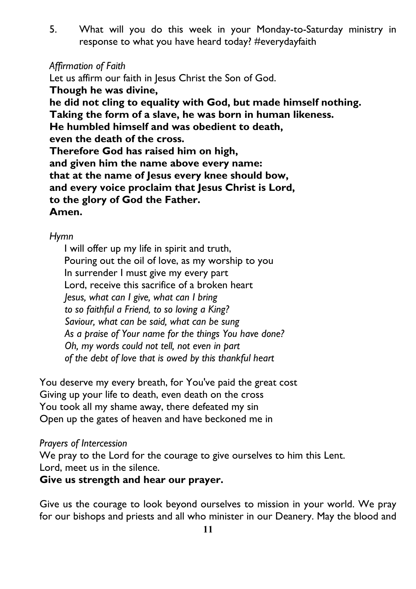5. What will you do this week in your Monday-to-Saturday ministry in response to what you have heard today? #everydayfaith

#### *Affirmation of Faith*

Let us affirm our faith in Jesus Christ the Son of God. **Though he was divine, he did not cling to equality with God, but made himself nothing. Taking the form of a slave, he was born in human likeness. He humbled himself and was obedient to death, even the death of the cross. Therefore God has raised him on high, and given him the name above every name: that at the name of Jesus every knee should bow, and every voice proclaim that Jesus Christ is Lord, to the glory of God the Father. Amen.**

#### *Hymn*

I will offer up my life in spirit and truth, Pouring out the oil of love, as my worship to you In surrender I must give my every part Lord, receive this sacrifice of a broken heart *Jesus, what can I give, what can I bring to so faithful a Friend, to so loving a King? Saviour, what can be said, what can be sung As a praise of Your name for the things You have done? Oh, my words could not tell, not even in part of the debt of love that is owed by this thankful heart*

You deserve my every breath, for You've paid the great cost Giving up your life to death, even death on the cross You took all my shame away, there defeated my sin Open up the gates of heaven and have beckoned me in

#### *Prayers of Intercession*

We pray to the Lord for the courage to give ourselves to him this Lent. Lord, meet us in the silence.

#### **Give us strength and hear our prayer.**

Give us the courage to look beyond ourselves to mission in your world. We pray for our bishops and priests and all who minister in our Deanery. May the blood and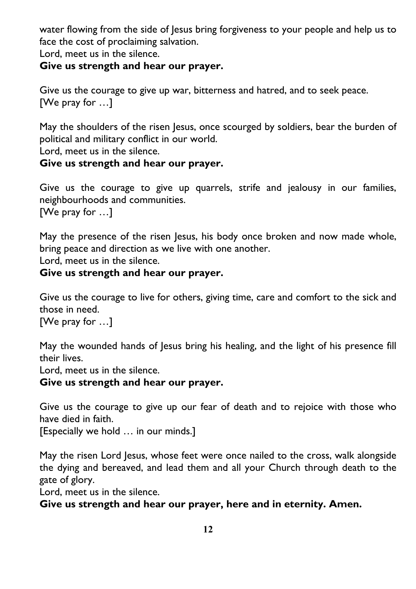water flowing from the side of Jesus bring forgiveness to your people and help us to face the cost of proclaiming salvation.

Lord, meet us in the silence.

#### **Give us strength and hear our prayer.**

Give us the courage to give up war, bitterness and hatred, and to seek peace. [We pray for …]

May the shoulders of the risen Jesus, once scourged by soldiers, bear the burden of political and military conflict in our world.

Lord, meet us in the silence.

#### **Give us strength and hear our prayer.**

Give us the courage to give up quarrels, strife and jealousy in our families, neighbourhoods and communities.

[We pray for …]

May the presence of the risen Jesus, his body once broken and now made whole, bring peace and direction as we live with one another.

Lord, meet us in the silence.

# **Give us strength and hear our prayer.**

Give us the courage to live for others, giving time, care and comfort to the sick and those in need.

[We pray for …]

May the wounded hands of Jesus bring his healing, and the light of his presence fill their lives.

Lord, meet us in the silence.

#### **Give us strength and hear our prayer.**

Give us the courage to give up our fear of death and to rejoice with those who have died in faith.

[Especially we hold … in our minds.]

May the risen Lord Jesus, whose feet were once nailed to the cross, walk alongside the dying and bereaved, and lead them and all your Church through death to the gate of glory.

Lord, meet us in the silence.

#### **Give us strength and hear our prayer, here and in eternity. Amen.**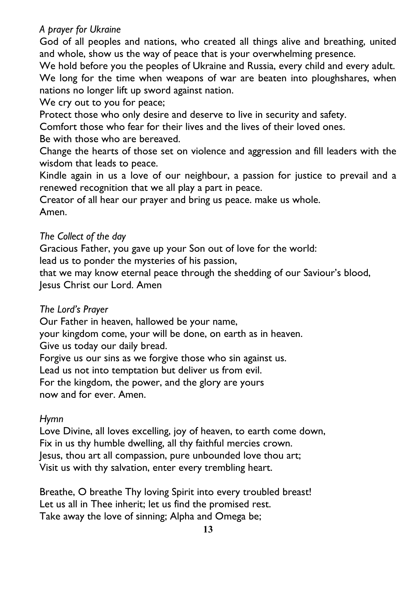#### *A prayer for Ukraine*

God of all peoples and nations, who created all things alive and breathing, united and whole, show us the way of peace that is your overwhelming presence.

We hold before you the peoples of Ukraine and Russia, every child and every adult. We long for the time when weapons of war are beaten into ploughshares, when nations no longer lift up sword against nation.

We cry out to you for peace;

Protect those who only desire and deserve to live in security and safety.

Comfort those who fear for their lives and the lives of their loved ones.

Be with those who are bereaved.

Change the hearts of those set on violence and aggression and fill leaders with the wisdom that leads to peace.

Kindle again in us a love of our neighbour, a passion for justice to prevail and a renewed recognition that we all play a part in peace.

Creator of all hear our prayer and bring us peace. make us whole. Amen.

## *The Collect of the day*

Gracious Father, you gave up your Son out of love for the world:

lead us to ponder the mysteries of his passion,

that we may know eternal peace through the shedding of our Saviour's blood, Jesus Christ our Lord. Amen

### *The Lord's Prayer*

Our Father in heaven, hallowed be your name,

your kingdom come, your will be done, on earth as in heaven.

Give us today our daily bread.

Forgive us our sins as we forgive those who sin against us.

Lead us not into temptation but deliver us from evil.

For the kingdom, the power, and the glory are yours

now and for ever. Amen.

## *Hymn*

Love Divine, all loves excelling, joy of heaven, to earth come down, Fix in us thy humble dwelling, all thy faithful mercies crown. Jesus, thou art all compassion, pure unbounded love thou art; Visit us with thy salvation, enter every trembling heart.

Breathe, O breathe Thy loving Spirit into every troubled breast! Let us all in Thee inherit; let us find the promised rest. Take away the love of sinning; Alpha and Omega be;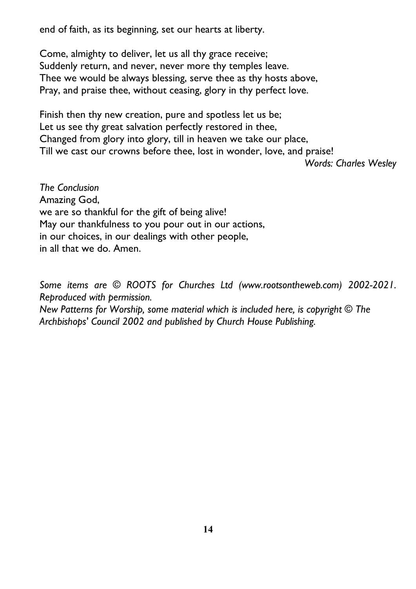end of faith, as its beginning, set our hearts at liberty.

Come, almighty to deliver, let us all thy grace receive; Suddenly return, and never, never more thy temples leave. Thee we would be always blessing, serve thee as thy hosts above, Pray, and praise thee, without ceasing, glory in thy perfect love.

Finish then thy new creation, pure and spotless let us be; Let us see thy great salvation perfectly restored in thee, Changed from glory into glory, till in heaven we take our place, Till we cast our crowns before thee, lost in wonder, love, and praise!

*Words: Charles Wesley*

*The Conclusion* Amazing God, we are so thankful for the gift of being alive! May our thankfulness to you pour out in our actions, in our choices, in our dealings with other people, in all that we do. Amen.

*Some items are © ROOTS for Churches Ltd (www.rootsontheweb.com) 2002-2021. Reproduced with permission.*

*New Patterns for Worship, some material which is included here, is copyright © The Archbishops' Council 2002 and published by Church House Publishing.*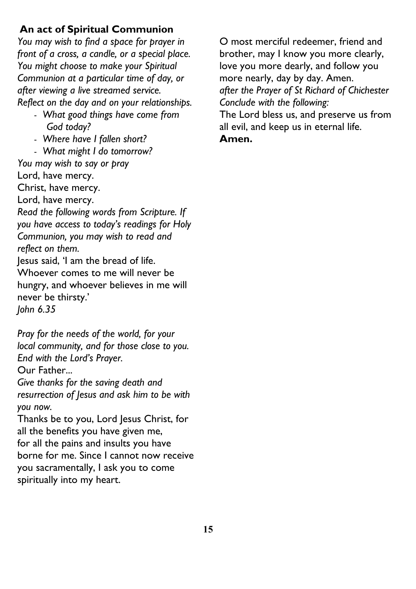# **An act of Spiritual Communion**

*You may wish to find a space for prayer in front of a cross, a candle, or a special place. You might choose to make your Spiritual Communion at a particular time of day, or after viewing a live streamed service. Reflect on the day and on your relationships.*

- *What good things have come from God today?*
- *Where have I fallen short?*
- *What might I do tomorrow? You may wish to say or pray* Lord, have mercy. Christ, have mercy. Lord, have mercy. *Read the following words from Scripture. If you have access to today's readings for Holy Communion, you may wish to read and reflect on them.* Jesus said, 'I am the bread of life. Whoever comes to me will never be hungry, and whoever believes in me will

never be thirsty.'

*John 6.35*

*Pray for the needs of the world, for your local community, and for those close to you. End with the Lord's Prayer.*

Our Father...

*Give thanks for the saving death and resurrection of Jesus and ask him to be with you now.*

Thanks be to you, Lord Jesus Christ, for all the benefits you have given me, for all the pains and insults you have borne for me. Since I cannot now receive you sacramentally, I ask you to come spiritually into my heart.

O most merciful redeemer, friend and brother, may I know you more clearly, love you more dearly, and follow you more nearly, day by day. Amen. *after the Prayer of St Richard of Chichester*

*Conclude with the following:*

The Lord bless us, and preserve us from all evil, and keep us in eternal life. **Amen.**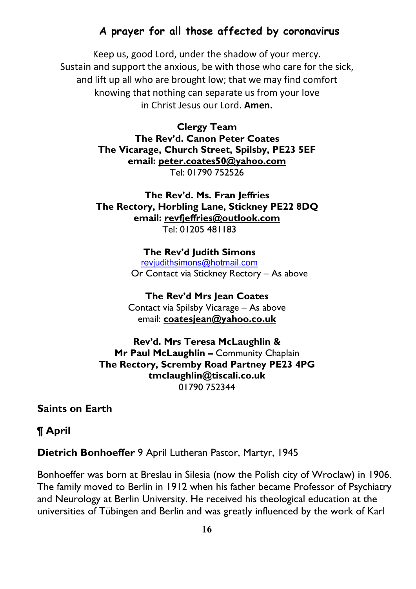# **A prayer for all those affected by coronavirus**

Keep us, good Lord, under the shadow of your mercy. Sustain and support the anxious, be with those who care for the sick, and lift up all who are brought low; that we may find comfort knowing that nothing can separate us from your love in Christ Jesus our Lord. **Amen.**

> **Clergy Team The Rev'd. Canon Peter Coates The Vicarage, Church Street, Spilsby, PE23 5EF email: [peter.coates50@yahoo.com](mailto:peter.coates50@yahoo.com)** Tel: 01790 752526

**The Rev'd. Ms. Fran Jeffries The Rectory, Horbling Lane, Stickney PE22 8DQ email: [revfjeffries@outlook.com](mailto:revfjeffries@outlook.com)** Tel: 01205 481183

> **The Rev'd Judith Simons** [revjudithsimons@hotmail.com](mailto:revjudithsimons@hotmail.com) Or Contact via Stickney Rectory – As above

**The Rev'd Mrs Jean Coates** Contact via Spilsby Vicarage – As above email: **[coatesjean@yahoo.co.uk](mailto:coatesjean@yahoo.co.uk)**

**Rev'd. Mrs Teresa McLaughlin & Mr Paul McLaughlin –** Community Chaplain **The Rectory, Scremby Road Partney PE23 4PG [tmclaughlin@tiscali.co.uk](mailto:tmclaughlin@tiscali.co.uk)** 01790 752344

**Saints on Earth**

#### **¶ April**

**Dietrich Bonhoeffer** 9 April Lutheran Pastor, Martyr, 1945

Bonhoeffer was born at Breslau in Silesia (now the Polish city of Wroclaw) in 1906. The family moved to Berlin in 1912 when his father became Professor of Psychiatry and Neurology at Berlin University. He received his theological education at the universities of Tübingen and Berlin and was greatly influenced by the work of Karl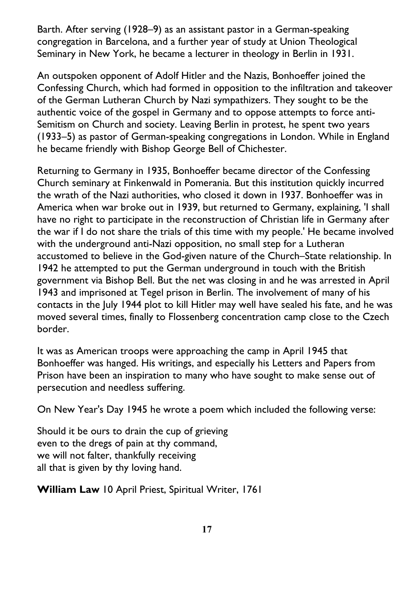Barth. After serving (1928–9) as an assistant pastor in a German-speaking congregation in Barcelona, and a further year of study at Union Theological Seminary in New York, he became a lecturer in theology in Berlin in 1931.

An outspoken opponent of Adolf Hitler and the Nazis, Bonhoeffer joined the Confessing Church, which had formed in opposition to the infiltration and takeover of the German Lutheran Church by Nazi sympathizers. They sought to be the authentic voice of the gospel in Germany and to oppose attempts to force anti-Semitism on Church and society. Leaving Berlin in protest, he spent two years (1933–5) as pastor of German-speaking congregations in London. While in England he became friendly with Bishop George Bell of Chichester.

Returning to Germany in 1935, Bonhoeffer became director of the Confessing Church seminary at Finkenwald in Pomerania. But this institution quickly incurred the wrath of the Nazi authorities, who closed it down in 1937. Bonhoeffer was in America when war broke out in 1939, but returned to Germany, explaining, 'I shall have no right to participate in the reconstruction of Christian life in Germany after the war if I do not share the trials of this time with my people.' He became involved with the underground anti-Nazi opposition, no small step for a Lutheran accustomed to believe in the God-given nature of the Church–State relationship. In 1942 he attempted to put the German underground in touch with the British government via Bishop Bell. But the net was closing in and he was arrested in April 1943 and imprisoned at Tegel prison in Berlin. The involvement of many of his contacts in the July 1944 plot to kill Hitler may well have sealed his fate, and he was moved several times, finally to Flossenberg concentration camp close to the Czech border.

It was as American troops were approaching the camp in April 1945 that Bonhoeffer was hanged. His writings, and especially his Letters and Papers from Prison have been an inspiration to many who have sought to make sense out of persecution and needless suffering.

On New Year's Day 1945 he wrote a poem which included the following verse:

Should it be ours to drain the cup of grieving even to the dregs of pain at thy command, we will not falter, thankfully receiving all that is given by thy loving hand.

**William Law** 10 April Priest, Spiritual Writer, 1761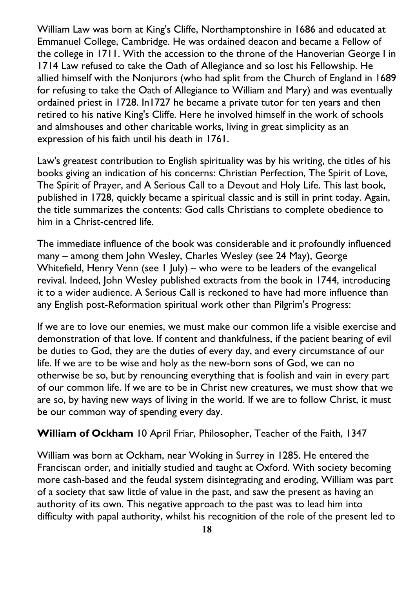William Law was born at King's Cliffe, Northamptonshire in 1686 and educated at Emmanuel College, Cambridge. He was ordained deacon and became a Fellow of the college in 1711. With the accession to the throne of the Hanoverian George I in 1714 Law refused to take the Oath of Allegiance and so lost his Fellowship. He allied himself with the Nonjurors (who had split from the Church of England in 1689 for refusing to take the Oath of Allegiance to William and Mary) and was eventually ordained priest in 1728. In1727 he became a private tutor for ten years and then retired to his native King's Cliffe. Here he involved himself in the work of schools and almshouses and other charitable works, living in great simplicity as an expression of his faith until his death in 1761.

Law's greatest contribution to English spirituality was by his writing, the titles of his books giving an indication of his concerns: Christian Perfection, The Spirit of Love, The Spirit of Prayer, and A Serious Call to a Devout and Holy Life. This last book, published in 1728, quickly became a spiritual classic and is still in print today. Again, the title summarizes the contents: God calls Christians to complete obedience to him in a Christ-centred life.

The immediate influence of the book was considerable and it profoundly influenced many – among them John Wesley, Charles Wesley (see 24 May), George Whitefield, Henry Venn (see 1 July) – who were to be leaders of the evangelical revival. Indeed, John Wesley published extracts from the book in 1744, introducing it to a wider audience. A Serious Call is reckoned to have had more influence than any English post-Reformation spiritual work other than Pilgrim's Progress:

If we are to love our enemies, we must make our common life a visible exercise and demonstration of that love. If content and thankfulness, if the patient bearing of evil be duties to God, they are the duties of every day, and every circumstance of our life. If we are to be wise and holy as the new-born sons of God, we can no otherwise be so, but by renouncing everything that is foolish and vain in every part of our common life. If we are to be in Christ new creatures, we must show that we are so, by having new ways of living in the world. If we are to follow Christ, it must be our common way of spending every day.

#### **William of Ockham** 10 April Friar, Philosopher, Teacher of the Faith, 1347

William was born at Ockham, near Woking in Surrey in 1285. He entered the Franciscan order, and initially studied and taught at Oxford. With society becoming more cash-based and the feudal system disintegrating and eroding, William was part of a society that saw little of value in the past, and saw the present as having an authority of its own. This negative approach to the past was to lead him into difficulty with papal authority, whilst his recognition of the role of the present led to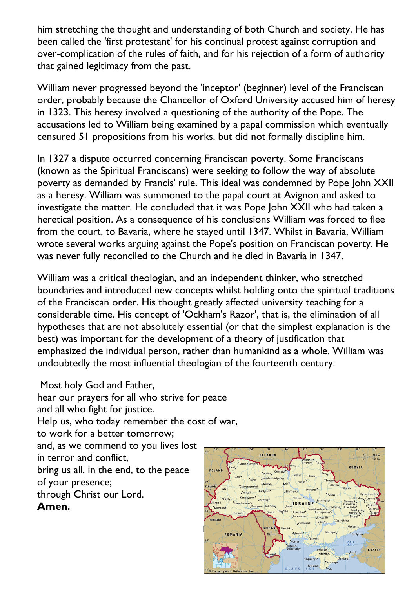him stretching the thought and understanding of both Church and society. He has been called the 'first protestant' for his continual protest against corruption and over-complication of the rules of faith, and for his rejection of a form of authority that gained legitimacy from the past.

William never progressed beyond the 'inceptor' (beginner) level of the Franciscan order, probably because the Chancellor of Oxford University accused him of heresy in 1323. This heresy involved a questioning of the authority of the Pope. The accusations led to William being examined by a papal commission which eventually censured 51 propositions from his works, but did not formally discipline him.

In 1327 a dispute occurred concerning Franciscan poverty. Some Franciscans (known as the Spiritual Franciscans) were seeking to follow the way of absolute poverty as demanded by Francis' rule. This ideal was condemned by Pope John XXII as a heresy. William was summoned to the papal court at Avignon and asked to investigate the matter. He concluded that it was Pope John XXII who had taken a heretical position. As a consequence of his conclusions William was forced to flee from the court, to Bavaria, where he stayed until 1347. Whilst in Bavaria, William wrote several works arguing against the Pope's position on Franciscan poverty. He was never fully reconciled to the Church and he died in Bavaria in 1347.

William was a critical theologian, and an independent thinker, who stretched boundaries and introduced new concepts whilst holding onto the spiritual traditions of the Franciscan order. His thought greatly affected university teaching for a considerable time. His concept of 'Ockham's Razor', that is, the elimination of all hypotheses that are not absolutely essential (or that the simplest explanation is the best) was important for the development of a theory of justification that emphasized the individual person, rather than humankind as a whole. William was undoubtedly the most influential theologian of the fourteenth century.

Most holy God and Father, hear our prayers for all who strive for peace and all who fight for justice. Help us, who today remember the cost of war, to work for a better tomorrow; and, as we commend to you lives lost in terror and conflict, bring us all, in the end, to the peace POLAND of your presence; through Christ our Lord. **Amen.**